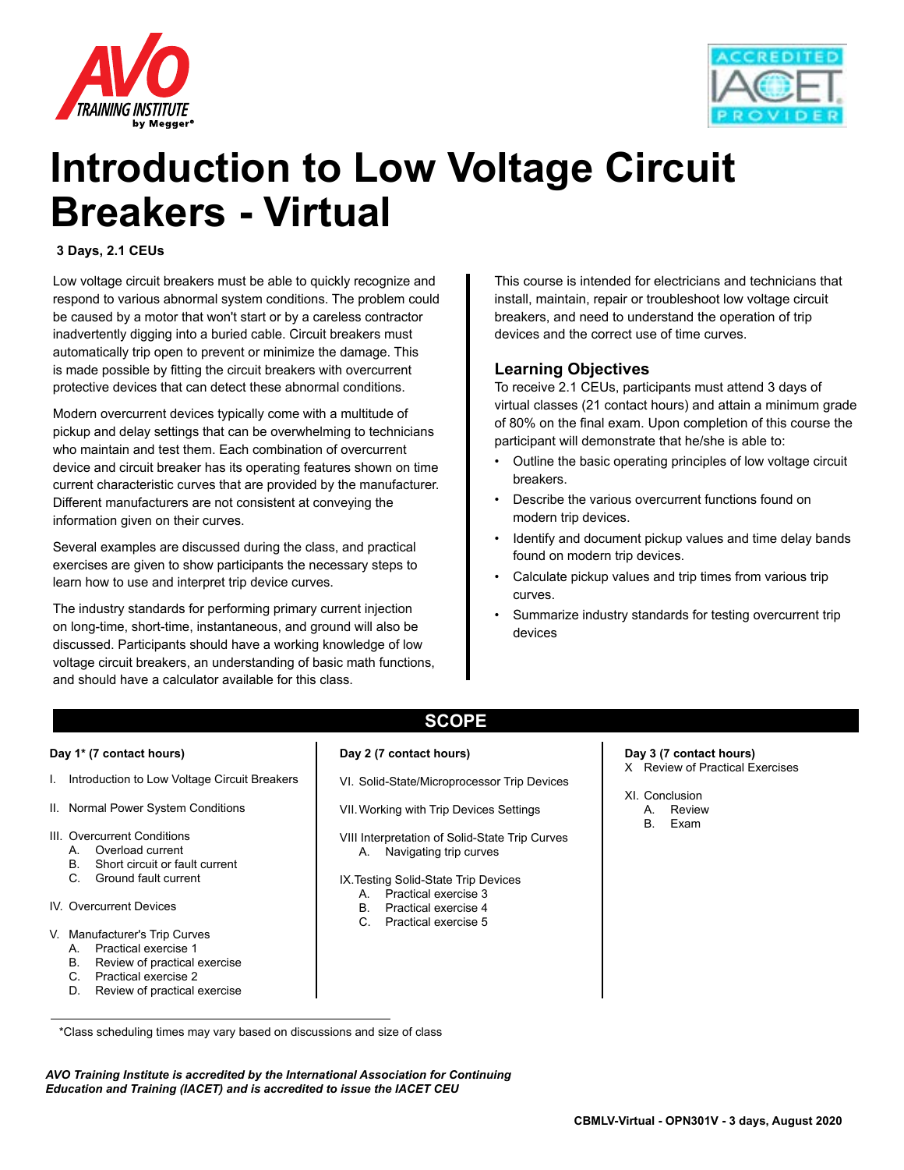



# **Introduction to Low Voltage Circuit Breakers - Virtual**

#### **3 Days, 2.1 CEUs**

Low voltage circuit breakers must be able to quickly recognize and respond to various abnormal system conditions. The problem could be caused by a motor that won't start or by a careless contractor inadvertently digging into a buried cable. Circuit breakers must automatically trip open to prevent or minimize the damage. This is made possible by fitting the circuit breakers with overcurrent protective devices that can detect these abnormal conditions.

Modern overcurrent devices typically come with a multitude of pickup and delay settings that can be overwhelming to technicians who maintain and test them. Each combination of overcurrent device and circuit breaker has its operating features shown on time current characteristic curves that are provided by the manufacturer. Different manufacturers are not consistent at conveying the information given on their curves.

Several examples are discussed during the class, and practical exercises are given to show participants the necessary steps to learn how to use and interpret trip device curves.

The industry standards for performing primary current injection on long-time, short-time, instantaneous, and ground will also be discussed. Participants should have a working knowledge of low voltage circuit breakers, an understanding of basic math functions, and should have a calculator available for this class.

This course is intended for electricians and technicians that install, maintain, repair or troubleshoot low voltage circuit breakers, and need to understand the operation of trip devices and the correct use of time curves.

### **Learning Objectives**

To receive 2.1 CEUs, participants must attend 3 days of virtual classes (21 contact hours) and attain a minimum grade of 80% on the final exam. Upon completion of this course the participant will demonstrate that he/she is able to:

- Outline the basic operating principles of low voltage circuit breakers.
- Describe the various overcurrent functions found on modern trip devices.
- Identify and document pickup values and time delay bands found on modern trip devices.
- Calculate pickup values and trip times from various trip curves.
- Summarize industry standards for testing overcurrent trip devices

#### **Day 1\* (7 contact hours)**

- I. Introduction to Low Voltage Circuit Breakers
- II. Normal Power System Conditions
- III. Overcurrent Conditions
	- A. Overload current
	- B. Short circuit or fault current
	- C. Ground fault current
- IV. Overcurrent Devices
- V. Manufacturer's Trip Curves
	- A. Practical exercise 1
	- B. Review of practical exercise
	- C. Practical exercise 2
	- D. Review of practical exercise

#### **Day 2 (7 contact hours)**

VI. Solid-State/Microprocessor Trip Devices

**SCOPE**

- VII.Working with Trip Devices Settings
- VIII Interpretation of Solid-State Trip Curves A. Navigating trip curves
- IX.Testing Solid-State Trip Devices
	- A. Practical exercise 3
	- B. Practical exercise 4
	- C. Practical exercise 5
- **Day 3 (7 contact hours)**
- X Review of Practical Exercises
- XI. Conclusion
	- A. Review
	- B. Exam

*AVO Training Institute is accredited by the International Association for Continuing Education and Training (IACET) and is accredited to issue the IACET CEU*

 <sup>\*</sup>Class scheduling times may vary based on discussions and size of class